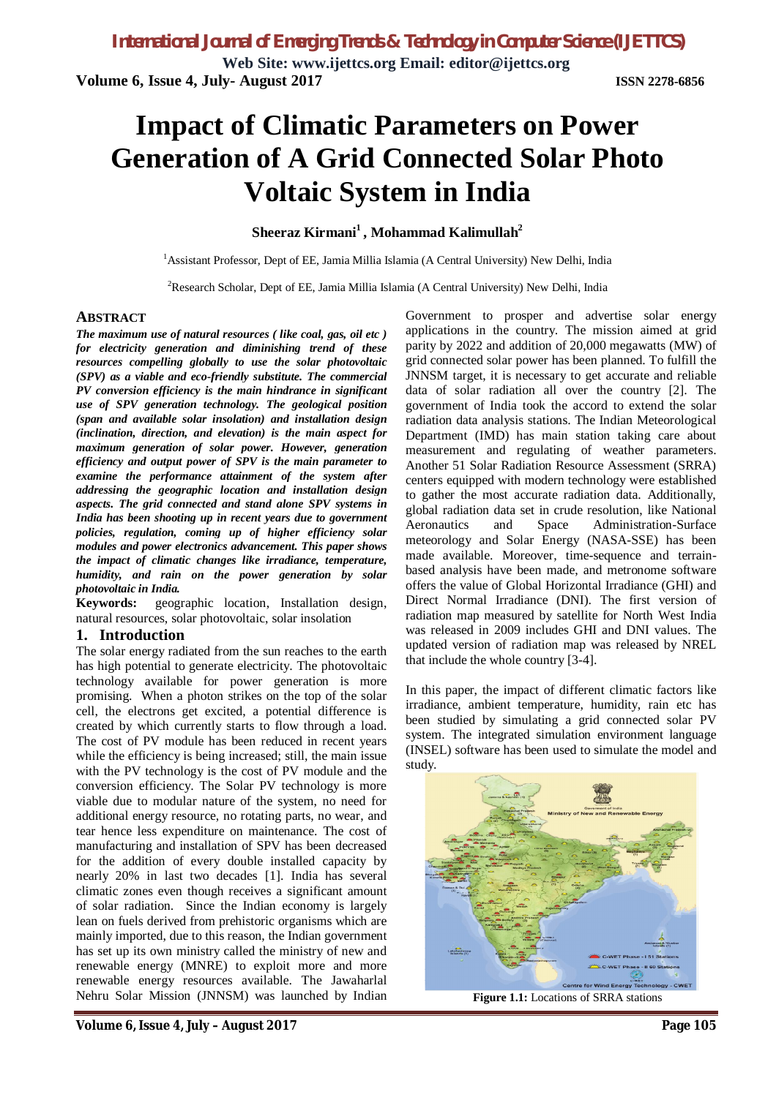**Web Site: www.ijettcs.org Email: editor@ijettcs.org Volume 6, Issue 4, July- August 2017 ISSN 2278-6856**

# **Impact of Climatic Parameters on Power Generation of A Grid Connected Solar Photo Voltaic System in India**

### **Sheeraz Kirmani<sup>1</sup> , Mohammad Kalimullah<sup>2</sup>**

<sup>1</sup> Assistant Professor, Dept of EE, Jamia Millia Islamia (A Central University) New Delhi, India

<sup>2</sup>Research Scholar, Dept of EE, Jamia Millia Islamia (A Central University) New Delhi, India

#### **ABSTRACT**

*The maximum use of natural resources ( like coal, gas, oil etc ) for electricity generation and diminishing trend of these resources compelling globally to use the solar photovoltaic (SPV) as a viable and eco-friendly substitute. The commercial PV conversion efficiency is the main hindrance in significant use of SPV generation technology. The geological position (span and available solar insolation) and installation design (inclination, direction, and elevation) is the main aspect for maximum generation of solar power. However, generation efficiency and output power of SPV is the main parameter to examine the performance attainment of the system after addressing the geographic location and installation design aspects. The grid connected and stand alone SPV systems in India has been shooting up in recent years due to government policies, regulation, coming up of higher efficiency solar modules and power electronics advancement. This paper shows the impact of climatic changes like irradiance, temperature, humidity, and rain on the power generation by solar photovoltaic in India.* 

**Keywords:** geographic location, Installation design, natural resources, solar photovoltaic, solar insolation

#### **1. Introduction**

The solar energy radiated from the sun reaches to the earth has high potential to generate electricity. The photovoltaic technology available for power generation is more promising. When a photon strikes on the top of the solar cell, the electrons get excited, a potential difference is created by which currently starts to flow through a load. The cost of PV module has been reduced in recent years while the efficiency is being increased; still, the main issue with the PV technology is the cost of PV module and the conversion efficiency. The Solar PV technology is more viable due to modular nature of the system, no need for additional energy resource, no rotating parts, no wear, and tear hence less expenditure on maintenance. The cost of manufacturing and installation of SPV has been decreased for the addition of every double installed capacity by nearly 20% in last two decades [1]. India has several climatic zones even though receives a significant amount of solar radiation. Since the Indian economy is largely lean on fuels derived from prehistoric organisms which are mainly imported, due to this reason, the Indian government has set up its own ministry called the ministry of new and renewable energy (MNRE) to exploit more and more renewable energy resources available. The Jawaharlal Nehru Solar Mission (JNNSM) was launched by Indian

Government to prosper and advertise solar energy applications in the country. The mission aimed at grid parity by 2022 and addition of 20,000 megawatts (MW) of grid connected solar power has been planned. To fulfill the JNNSM target, it is necessary to get accurate and reliable data of solar radiation all over the country [2]. The government of India took the accord to extend the solar radiation data analysis stations. The Indian Meteorological Department (IMD) has main station taking care about measurement and regulating of weather parameters. Another 51 Solar Radiation Resource Assessment (SRRA) centers equipped with modern technology were established to gather the most accurate radiation data. Additionally, global radiation data set in crude resolution, like National Aeronautics and Space Administration-Surface meteorology and Solar Energy (NASA-SSE) has been made available. Moreover, time-sequence and terrainbased analysis have been made, and metronome software offers the value of Global Horizontal Irradiance (GHI) and Direct Normal Irradiance (DNI). The first version of radiation map measured by satellite for North West India was released in 2009 includes GHI and DNI values. The updated version of radiation map was released by NREL that include the whole country [3-4].

In this paper, the impact of different climatic factors like irradiance, ambient temperature, humidity, rain etc has been studied by simulating a grid connected solar PV system. The integrated simulation environment language (INSEL) software has been used to simulate the model and study.



**Figure 1.1:** Locations of SRRA stations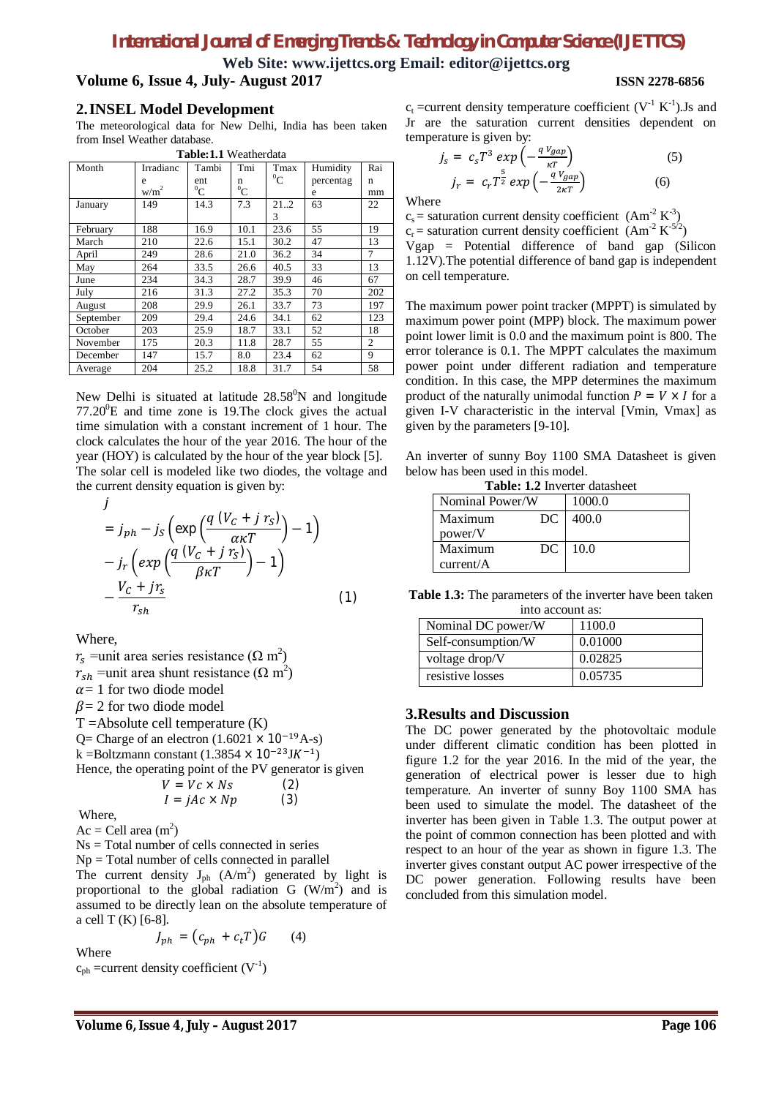# *International Journal of Emerging Trends & Technology in Computer Science (IJETTCS)*

**Web Site: www.ijettcs.org Email: editor@ijettcs.org Volume 6, Issue 4, July- August 2017 ISSN 2278-6856**

#### **2.INSEL Model Development**

The meteorological data for New Delhi, India has been taken from Insel Weather database.

| <b>Table:1.1</b> Weatherdata |                  |         |         |         |           |                |  |
|------------------------------|------------------|---------|---------|---------|-----------|----------------|--|
| Month                        | Irradianc        | Tambi   | Tmi     | Tmax    | Humidity  | Rai            |  |
|                              | e                | ent     | n       | $^{0}C$ | percentag | n              |  |
|                              | w/m <sup>2</sup> | $^{0}C$ | $^{0}C$ |         | e         | mm             |  |
| January                      | 149              | 14.3    | 7.3     | 21.2    | 63        | 22             |  |
|                              |                  |         |         | 3       |           |                |  |
| February                     | 188              | 16.9    | 10.1    | 23.6    | 55        | 19             |  |
| March                        | 210              | 22.6    | 15.1    | 30.2    | 47        | 13             |  |
| April                        | 249              | 28.6    | 21.0    | 36.2    | 34        | 7              |  |
| May                          | 264              | 33.5    | 26.6    | 40.5    | 33        | 13             |  |
| June                         | 234              | 34.3    | 28.7    | 39.9    | 46        | 67             |  |
| July                         | 216              | 31.3    | 27.2    | 35.3    | 70        | 202            |  |
| August                       | 208              | 29.9    | 26.1    | 33.7    | 73        | 197            |  |
| September                    | 209              | 29.4    | 24.6    | 34.1    | 62        | 123            |  |
| October                      | 203              | 25.9    | 18.7    | 33.1    | 52        | 18             |  |
| November                     | 175              | 20.3    | 11.8    | 28.7    | 55        | $\overline{2}$ |  |
| December                     | 147              | 15.7    | 8.0     | 23.4    | 62        | 9              |  |
| Average                      | 204              | 25.2    | 18.8    | 31.7    | 54        | 58             |  |

New Delhi is situated at latitude  $28.58^{\circ}$ N and longitude  $77.20^{\circ}$ E and time zone is 19. The clock gives the actual time simulation with a constant increment of 1 hour. The clock calculates the hour of the year 2016. The hour of the year (HOY) is calculated by the hour of the year block [5]. The solar cell is modeled like two diodes, the voltage and the current density equation is given by:

$$
j
$$
\n
$$
= j_{ph} - j_S \left( \exp\left( \frac{q (V_c + j r_S)}{\alpha \kappa T} \right) - 1 \right)
$$
\n
$$
- j_r \left( \exp\left( \frac{q (V_c + j r_S)}{\beta \kappa T} \right) - 1 \right)
$$
\n
$$
- \frac{V_c + j r_S}{r_{sh}} \tag{1}
$$

Where,

 $r_s$  =unit area series resistance ( $\Omega$  m<sup>2</sup>)  $r_{sh}$  =unit area shunt resistance ( $\Omega$  m<sup>2</sup>)  $\alpha$  = 1 for two diode model  $\beta$  = 2 for two diode model  $T =$ Absolute cell temperature  $(K)$ Q= Charge of an electron  $(1.6021 \times 10^{-19} A-s)$ k =Boltzmann constant  $(1.3854 \times 10^{-23}$ JK<sup>-1</sup>) Hence, the operating point of the PV generator is given  $V = Vc \times Ns$  (2)  $I = jAc \times Np$  (3)

Where,

Ac = Cell area  $(m^2)$ 

Ns = Total number of cells connected in series

 $Np = Total number of cells connected in parallel$ 

The current density  $J_{ph}$  (A/m<sup>2</sup>) generated by light is proportional to the global radiation G  $(W/m^2)$  and is assumed to be directly lean on the absolute temperature of a cell T (K) [6-8].

$$
J_{ph} = (c_{ph} + c_t T)G \qquad (4)
$$

Where  $c_{ph}$  =current density coefficient  $(V<sup>-1</sup>)$ 

 $c_t$  =current density temperature coefficient (V<sup>-1</sup> K<sup>-1</sup>). Is and Jr are the saturation current densities dependent on temperature is given by:

$$
j_s = c_s T^3 \exp\left(-\frac{qV_{gap}}{\kappa T}\right)
$$
  
\n
$$
j_r = c_r T^{\frac{5}{2}} \exp\left(-\frac{qV_{gap}}{2\kappa T}\right)
$$
 (5)

Where

 $c_s$  = saturation current density coefficient (Am<sup>-2</sup> K<sup>-3</sup>)  $c_r$  = saturation current density coefficient  $(Am^{-2} K^{-5/2})$ Vgap = Potential difference of band gap (Silicon 1.12V).The potential difference of band gap is independent on cell temperature.

The maximum power point tracker (MPPT) is simulated by maximum power point (MPP) block. The maximum power point lower limit is 0.0 and the maximum point is 800. The error tolerance is 0.1. The MPPT calculates the maximum power point under different radiation and temperature condition. In this case, the MPP determines the maximum product of the naturally unimodal function  $P = V \times I$  for a given I-V characteristic in the interval [Vmin, Vmax] as given by the parameters [9-10].

An inverter of sunny Boy 1100 SMA Datasheet is given below has been used in this model.

|  | <b>Table: 1.2 Inverter datasheet</b> |  |
|--|--------------------------------------|--|
|--|--------------------------------------|--|

| Nominal Power/W | 1000.0 |  |  |
|-----------------|--------|--|--|
| Maximum<br>DC.  | 400.0  |  |  |
| power/V         |        |  |  |
| Maximum<br>DC.  | 10.0   |  |  |
| current/A       |        |  |  |

**Table 1.3:** The parameters of the inverter have been taken into account as:

| Nominal DC power/W | 1100.0  |
|--------------------|---------|
| Self-consumption/W | 0.01000 |
| voltage drop/V     | 0.02825 |
| resistive losses   | 0.05735 |

#### **3.Results and Discussion**

The DC power generated by the photovoltaic module under different climatic condition has been plotted in figure 1.2 for the year 2016. In the mid of the year, the generation of electrical power is lesser due to high temperature. An inverter of sunny Boy 1100 SMA has been used to simulate the model. The datasheet of the inverter has been given in Table 1.3. The output power at the point of common connection has been plotted and with respect to an hour of the year as shown in figure 1.3. The inverter gives constant output AC power irrespective of the DC power generation. Following results have been concluded from this simulation model.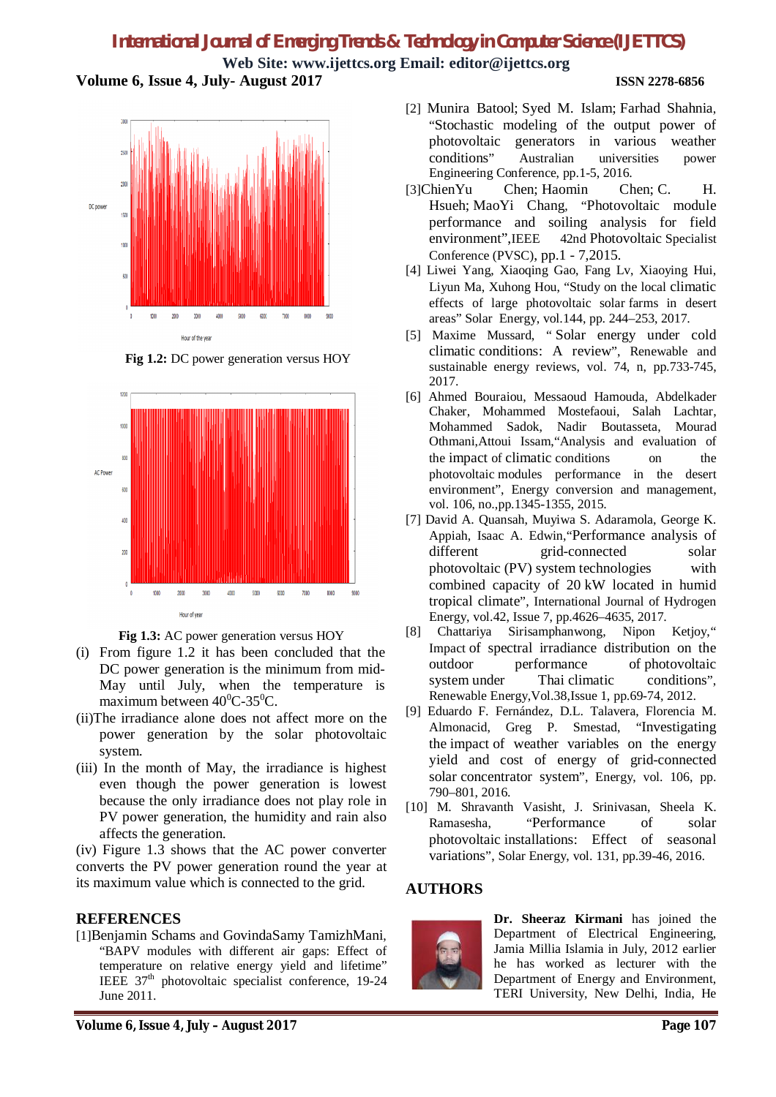# *International Journal of Emerging Trends & Technology in Computer Science (IJETTCS)*

**Web Site: www.ijettcs.org Email: editor@ijettcs.org Volume 6, Issue 4, July- August 2017 ISSN 2278-6856**



**Fig 1.2:** DC power generation versus HOY



**Fig 1.3:** AC power generation versus HOY

- (i) From figure 1.2 it has been concluded that the DC power generation is the minimum from mid-May until July, when the temperature is maximum between  $40^{\circ}$ C-35<sup>o</sup>C.
- (ii)The irradiance alone does not affect more on the power generation by the solar photovoltaic system.
- (iii) In the month of May, the irradiance is highest even though the power generation is lowest because the only irradiance does not play role in PV power generation, the humidity and rain also affects the generation.

(iv) Figure 1.3 shows that the AC power converter converts the PV power generation round the year at its maximum value which is connected to the grid.

### **REFERENCES**

[1]Benjamin Schams and GovindaSamy TamizhMani, "BAPV modules with different air gaps: Effect of temperature on relative energy yield and lifetime" IEEE 37th photovoltaic specialist conference, 19-24 June 2011.

- [2] Munira Batool; Syed M. Islam; Farhad Shahnia, "Stochastic modeling of the output power of photovoltaic generators in various weather conditions" Australian universities power Engineering Conference, pp.1-5, 2016.
- [3]ChienYu Chen; Haomin Chen; C. H. Hsueh; MaoYi Chang, "Photovoltaic module performance and soiling analysis for field environment",IEEE 42nd Photovoltaic Specialist Conference (PVSC), pp.1 - 7,2015.
- [4] Liwei Yang, Xiaoqing Gao, Fang Lv, Xiaoying Hui, Liyun Ma, Xuhong Hou, "Study on the local climatic effects of large photovoltaic solar farms in desert areas" Solar Energy, vol.144, pp. 244–253, 2017.
- [5] Maxime Mussard, " Solar energy under cold climatic conditions: A review", Renewable and sustainable energy reviews, vol. 74, n, pp.733-745, 2017.
- [6] Ahmed Bouraiou, Messaoud Hamouda, Abdelkader Chaker, Mohammed Mostefaoui, Salah Lachtar, Mohammed Sadok, Nadir Boutasseta, Mourad Othmani,Attoui Issam,"Analysis and evaluation of the impact of climatic conditions on the photovoltaic modules performance in the desert environment", Energy conversion and management, vol. 106, no.,pp.1345-1355, 2015.
- [7] David A. Quansah, Muyiwa S. Adaramola, George K. Appiah, Isaac A. Edwin,"Performance analysis of different grid-connected solar photovoltaic (PV) system technologies with combined capacity of 20 kW located in humid tropical climate", International Journal of Hydrogen Energy, vol.42, Issue 7, pp.4626–4635, 2017.
- [8] Chattariya Sirisamphanwong, Nipon Ketjoy," Impact of spectral irradiance distribution on the outdoor performance of photovoltaic system under Thai climatic conditions". Renewable Energy,Vol.38,Issue 1, pp.69-74, 2012.
- [9] Eduardo F. Fernández, D.L. Talavera, Florencia M. Almonacid, Greg P. Smestad, "Investigating the impact of weather variables on the energy yield and cost of energy of grid-connected solar concentrator system", Energy, vol. 106, pp. 790–801, 2016.
- [10] M. Shravanth Vasisht, J. Srinivasan, Sheela K. Ramasesha, "Performance of solar photovoltaic installations: Effect of seasonal variations", Solar Energy, vol. 131, pp.39-46, 2016.

# **AUTHORS**



**Dr. Sheeraz Kirmani** has joined the Department of Electrical Engineering, Jamia Millia Islamia in July, 2012 earlier he has worked as lecturer with the Department of Energy and Environment, TERI University, New Delhi, India, He

### **Volume 6, Issue 4, July – August 2017 Page 107**